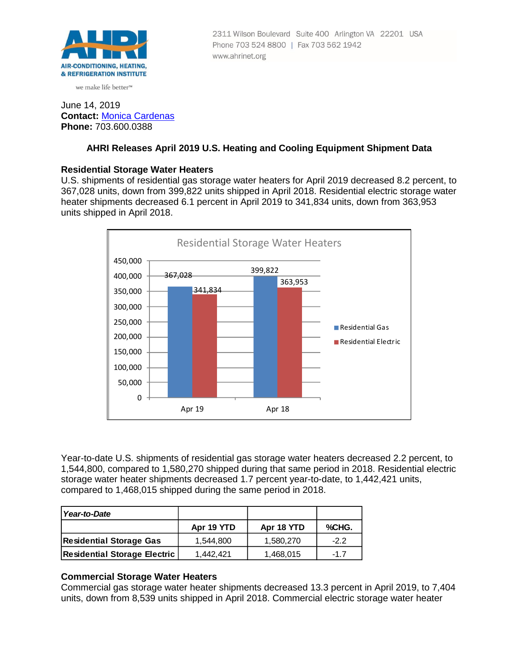

we make life better™

# Phone 703 524 8800 | Fax 703 562 1942 www.ahrinet.org

2311 Wilson Boulevard Suite 400 Arlington VA 22201 USA

#### June 14, 2019 **Contact:** [Monica Cardenas](mailto:mcardenas@ahrinet.org) **Phone:** 703.600.0388

## **AHRI Releases April 2019 U.S. Heating and Cooling Equipment Shipment Data**

## **Residential Storage Water Heaters**

U.S. shipments of residential gas storage water heaters for April 2019 decreased 8.2 percent, to 367,028 units, down from 399,822 units shipped in April 2018. Residential electric storage water heater shipments decreased 6.1 percent in April 2019 to 341,834 units, down from 363,953 units shipped in April 2018.



Year-to-date U.S. shipments of residential gas storage water heaters decreased 2.2 percent, to 1,544,800, compared to 1,580,270 shipped during that same period in 2018. Residential electric storage water heater shipments decreased 1.7 percent year-to-date, to 1,442,421 units, compared to 1,468,015 shipped during the same period in 2018.

| Year-to-Date                        |            |            |        |
|-------------------------------------|------------|------------|--------|
|                                     | Apr 19 YTD | Apr 18 YTD | %CHG.  |
| <b>Residential Storage Gas</b>      | 1.544.800  | 1,580,270  | $-2.2$ |
| <b>Residential Storage Electric</b> | 1.442.421  | 1,468,015  | $-1.7$ |

## **Commercial Storage Water Heaters**

Commercial gas storage water heater shipments decreased 13.3 percent in April 2019, to 7,404 units, down from 8,539 units shipped in April 2018. Commercial electric storage water heater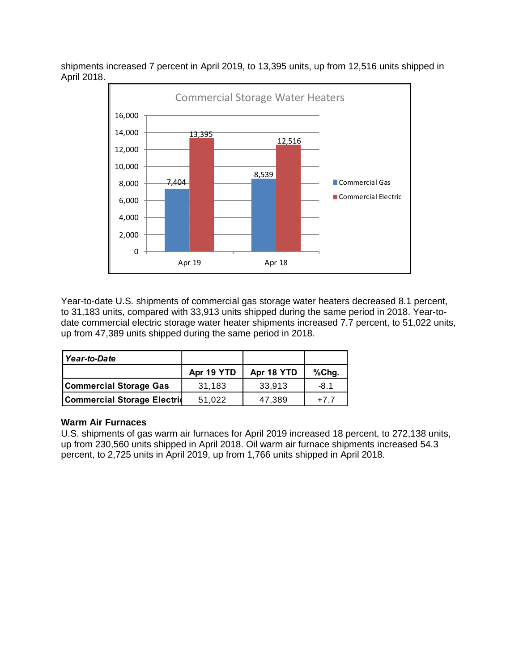shipments increased 7 percent in April 2019, to 13,395 units, up from 12,516 units shipped in April 2018.



Year-to-date U.S. shipments of commercial gas storage water heaters decreased 8.1 percent, to 31,183 units, compared with 33,913 units shipped during the same period in 2018. Year-todate commercial electric storage water heater shipments increased 7.7 percent, to 51,022 units, up from 47,389 units shipped during the same period in 2018.

| Year-to-Date                       |            |            |        |
|------------------------------------|------------|------------|--------|
|                                    | Apr 19 YTD | Apr 18 YTD | %Chg.  |
| <b>Commercial Storage Gas</b>      | 31,183     | 33,913     | $-8.1$ |
| <b>Commercial Storage Electric</b> | 51,022     | 47,389     | $+77$  |

## **Warm Air Furnaces**

U.S. shipments of gas warm air furnaces for April 2019 increased 18 percent, to 272,138 units, up from 230,560 units shipped in April 2018. Oil warm air furnace shipments increased 54.3 percent, to 2,725 units in April 2019, up from 1,766 units shipped in April 2018.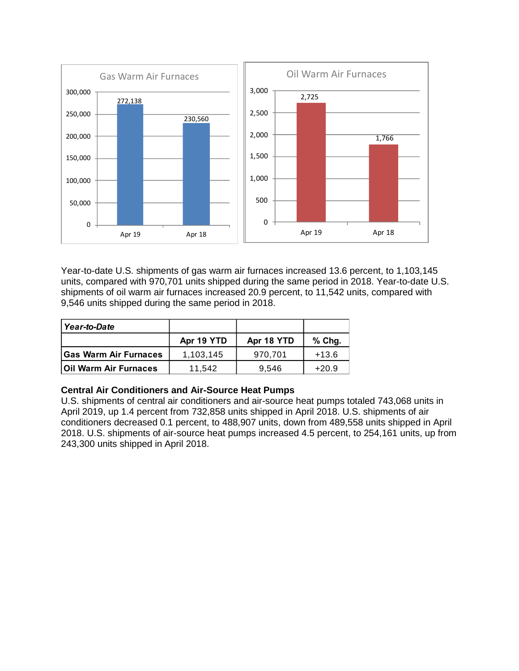

Year-to-date U.S. shipments of gas warm air furnaces increased 13.6 percent, to 1,103,145 units, compared with 970,701 units shipped during the same period in 2018. Year-to-date U.S. shipments of oil warm air furnaces increased 20.9 percent, to 11,542 units, compared with 9,546 units shipped during the same period in 2018.

| Year-to-Date                 |            |            |          |
|------------------------------|------------|------------|----------|
|                              | Apr 19 YTD | Apr 18 YTD | $%$ Chg. |
| <b>Gas Warm Air Furnaces</b> | 1,103,145  | 970.701    | $+13.6$  |
| <b>Oil Warm Air Furnaces</b> | 11.542     | 9.546      | $+20.9$  |

## **Central Air Conditioners and Air-Source Heat Pumps**

U.S. shipments of central air conditioners and air-source heat pumps totaled 743,068 units in April 2019, up 1.4 percent from 732,858 units shipped in April 2018. U.S. shipments of air conditioners decreased 0.1 percent, to 488,907 units, down from 489,558 units shipped in April 2018. U.S. shipments of air-source heat pumps increased 4.5 percent, to 254,161 units, up from 243,300 units shipped in April 2018.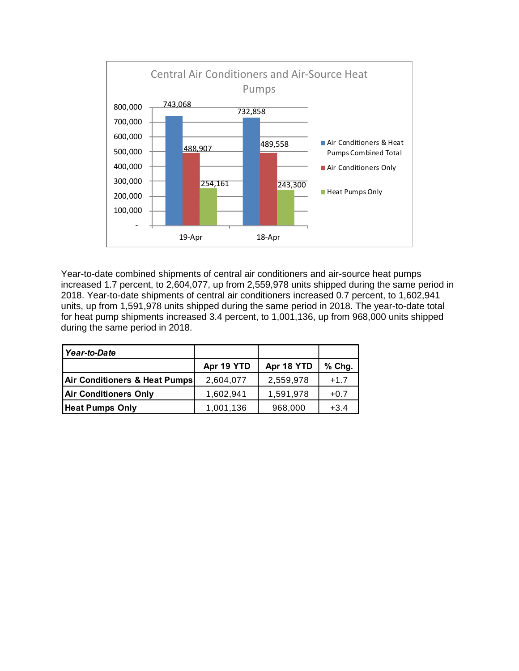

Year-to-date combined shipments of central air conditioners and air-source heat pumps increased 1.7 percent, to 2,604,077, up from 2,559,978 units shipped during the same period in 2018. Year-to-date shipments of central air conditioners increased 0.7 percent, to 1,602,941 units, up from 1,591,978 units shipped during the same period in 2018. The year-to-date total for heat pump shipments increased 3.4 percent, to 1,001,136, up from 968,000 units shipped during the same period in 2018.

| Year-to-Date                  |            |            |          |
|-------------------------------|------------|------------|----------|
|                               | Apr 19 YTD | Apr 18 YTD | $%$ Chg. |
| Air Conditioners & Heat Pumps | 2,604,077  | 2,559,978  | $+1.7$   |
| <b>Air Conditioners Only</b>  | 1,602,941  | 1,591,978  | $+0.7$   |
| <b>Heat Pumps Only</b>        | 1,001,136  | 968,000    | $+3.4$   |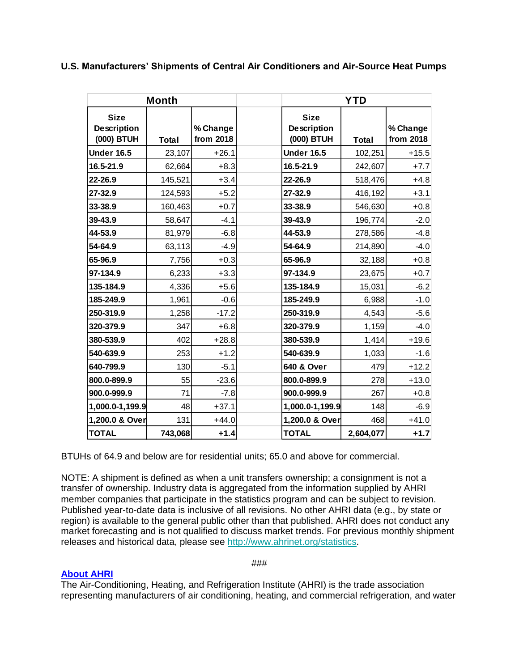## **U.S. Manufacturers' Shipments of Central Air Conditioners and Air-Source Heat Pumps**

| <b>Month</b>                             |         | <b>YTD</b>            |                                                 |              |                       |
|------------------------------------------|---------|-----------------------|-------------------------------------------------|--------------|-----------------------|
| <b>Size</b><br>Description<br>(000) BTUH | Total   | % Change<br>from 2018 | <b>Size</b><br><b>Description</b><br>(000) BTUH | <b>Total</b> | % Change<br>from 2018 |
| <b>Under 16.5</b>                        | 23,107  | $+26.1$               | <b>Under 16.5</b>                               | 102,251      | $+15.5$               |
| 16.5-21.9                                | 62,664  | $+8.3$                | 16.5-21.9                                       | 242,607      | $+7.7$                |
| 22-26.9                                  | 145,521 | $+3.4$                | 22-26.9                                         | 518,476      | $+4.8$                |
| 27-32.9                                  | 124,593 | $+5.2$                | 27-32.9                                         | 416,192      | $+3.1$                |
| 33-38.9                                  | 160,463 | $+0.7$                | 33-38.9                                         | 546,630      | $+0.8$                |
| 39-43.9                                  | 58,647  | $-4.1$                | 39-43.9                                         | 196,774      | $-2.0$                |
| 44-53.9                                  | 81,979  | $-6.8$                | 44-53.9                                         | 278,586      | $-4.8$                |
| 54-64.9                                  | 63,113  | $-4.9$                | 54-64.9                                         | 214,890      | $-4.0$                |
| 65-96.9                                  | 7,756   | $+0.3$                | 65-96.9                                         | 32,188       | $+0.8$                |
| 97-134.9                                 | 6,233   | $+3.3$                | 97-134.9                                        | 23,675       | $+0.7$                |
| 135-184.9                                | 4,336   | $+5.6$                | 135-184.9                                       | 15,031       | $-6.2$                |
| 185-249.9                                | 1,961   | $-0.6$                | 185-249.9                                       | 6,988        | $-1.0$                |
| 250-319.9                                | 1,258   | $-17.2$               | 250-319.9                                       | 4,543        | $-5.6$                |
| 320-379.9                                | 347     | $+6.8$                | 320-379.9                                       | 1,159        | $-4.0$                |
| 380-539.9                                | 402     | $+28.8$               | 380-539.9                                       | 1,414        | $+19.6$               |
| 540-639.9                                | 253     | $+1.2$                | 540-639.9                                       | 1,033        | $-1.6$                |
| 640-799.9                                | 130     | $-5.1$                | 640 & Over                                      | 479          | $+12.2$               |
| 800.0-899.9                              | 55      | $-23.6$               | 800.0-899.9                                     | 278          | $+13.0$               |
| 900.0-999.9                              | 71      | $-7.8$                | 900.0-999.9                                     | 267          | $+0.8$                |
| 1,000.0-1,199.9                          | 48      | $+37.1$               | 1,000.0-1,199.9                                 | 148          | $-6.9$                |
| 1,200.0 & Over                           | 131     | $+44.0$               | 1,200.0 & Over                                  | 468          | $+41.0$               |
| <b>TOTAL</b>                             | 743,068 | $+1.4$                | <b>TOTAL</b>                                    | 2,604,077    | $+1.7$                |

BTUHs of 64.9 and below are for residential units; 65.0 and above for commercial.

NOTE: A shipment is defined as when a unit transfers ownership; a consignment is not a transfer of ownership. Industry data is aggregated from the information supplied by AHRI member companies that participate in the statistics program and can be subject to revision. Published year-to-date data is inclusive of all revisions. No other AHRI data (e.g., by state or region) is available to the general public other than that published. AHRI does not conduct any market forecasting and is not qualified to discuss market trends. For previous monthly shipment releases and historical data, please see [http://www.ahrinet.org/statistics.](http://www.ahrinet.org/statistics)

## **[About AHRI](http://www.ahrinet.org/)**

###

The Air-Conditioning, Heating, and Refrigeration Institute (AHRI) is the trade association representing manufacturers of air conditioning, heating, and commercial refrigeration, and water